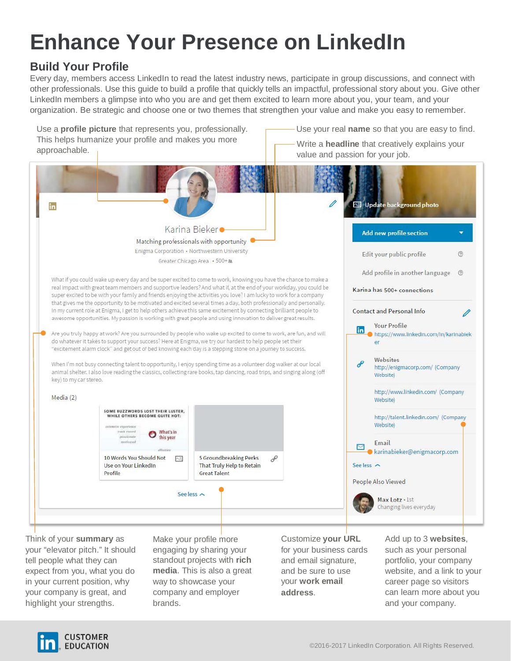# **Enhance Your Presence on LinkedIn**

# **Build Your Profile**

Every day, members access LinkedIn to read the latest industry news, participate in group discussions, and connect with other professionals. Use this guide to build a profile that quickly tells an impactful, professional story about you. Give other LinkedIn members a glimpse into who you are and get them excited to learn more about you, your team, and your organization. Be strategic and choose one or two themes that strengthen your value and make you easy to remember.



your "elevator pitch." It should tell people what they can expect from you, what you do in your current position, why your company is great, and highlight your strengths.

engaging by sharing your standout projects with **rich media**. This is also a great way to showcase your company and employer brands.

for your business cards and email signature, and be sure to use your **work email address**.

such as your personal portfolio, your company website, and a link to your career page so visitors can learn more about you and your company.

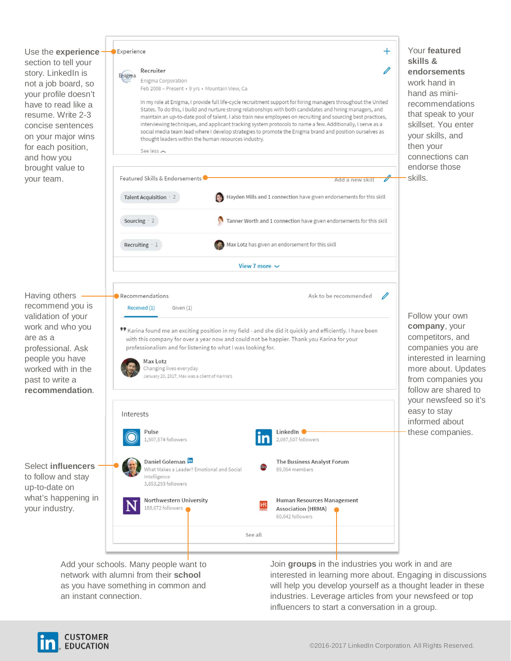Use the **experience**  section to tell your story. LinkedIn is not a job board, so your profile doesn't have to read like a resume. Write 2-3 concise sentences on your major wins for each position, and how you brought value to your team.

Having others recommend you is validation of your work and who you

professional. Ask people you have worked with in the past to write a **recommendation**.

Select **influencers** to follow and stay up-to-date on

your industry.

are as a



Add your schools. Many people want to network with alumni from their **school** as you have something in common and an instant connection.

Join **groups** in the industries you work in and are interested in learning more about. Engaging in discussions will help you develop yourself as a thought leader in these industries. Leverage articles from your newsfeed or top influencers to start a conversation in a group.



Follow your own **company**, your competitors, and companies you are interested in learning more about. Updates from companies you follow are shared to your newsfeed so it's easy to stay informed about these companies.